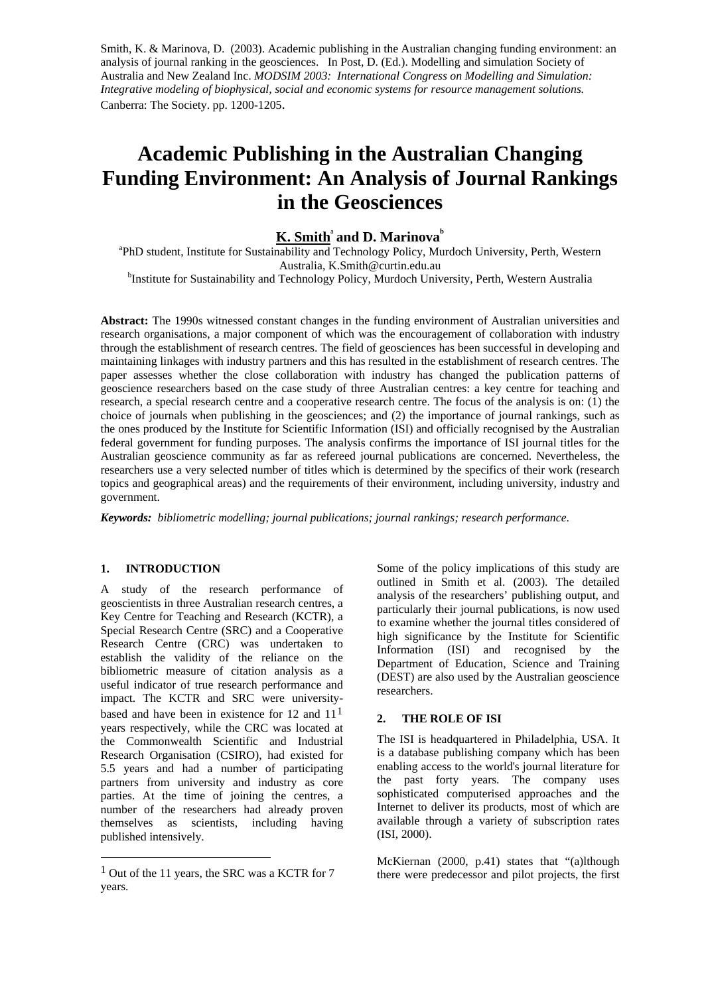# **Academic Publishing in the Australian Changing Funding Environment: An Analysis of Journal Rankings in the Geosciences**

## $\mathbf{K.}$  Smith $\degree$  and D. Marinova $\degree$

<sup>a</sup>PhD student, Institute for Sustainability and Technology Policy, Murdoch University, Perth, Western Australia, K.Smith@curtin.edu.au<br><sup>b</sup>Institute for Sustainability and Technology Policy, Murdoch University, Perth, Western Australia<sup>b</sup>

**Abstract:** The 1990s witnessed constant changes in the funding environment of Australian universities and research organisations, a major component of which was the encouragement of collaboration with industry through the establishment of research centres. The field of geosciences has been successful in developing and maintaining linkages with industry partners and this has resulted in the establishment of research centres. The paper assesses whether the close collaboration with industry has changed the publication patterns of geoscience researchers based on the case study of three Australian centres: a key centre for teaching and research, a special research centre and a cooperative research centre. The focus of the analysis is on: (1) the choice of journals when publishing in the geosciences; and (2) the importance of journal rankings, such as the ones produced by the Institute for Scientific Information (ISI) and officially recognised by the Australian federal government for funding purposes. The analysis confirms the importance of ISI journal titles for the Australian geoscience community as far as refereed journal publications are concerned. Nevertheless, the researchers use a very selected number of titles which is determined by the specifics of their work (research topics and geographical areas) and the requirements of their environment, including university, industry and government.

*Keywords: bibliometric modelling; journal publications; journal rankings; research performance*.

## **1. INTRODUCTION**

1

A study of the research performance of geoscientists in three Australian research centres, a Key Centre for Teaching and Research (KCTR), a Special Research Centre (SRC) and a Cooperative Research Centre (CRC) was undertaken to establish the validity of the reliance on the bibliometric measure of citation analysis as a useful indicator of true research performance and impact. The KCTR and SRC were university-based and have been in existence for [1](#page-0-0)2 and  $11<sup>1</sup>$ years respectively, while the CRC was located at the Commonwealth Scientific and Industrial Research Organisation (CSIRO), had existed for 5.5 years and had a number of participating partners from university and industry as core parties. At the time of joining the centres, a number of the researchers had already proven themselves as scientists, including having published intensively.

Some of the policy implications of this study are outlined in Smith et al. (2003). The detailed analysis of the researchers' publishing output, and particularly their journal publications, is now used to examine whether the journal titles considered of high significance by the Institute for Scientific Information (ISI) and recognised by the Department of Education, Science and Training (DEST) are also used by the Australian geoscience researchers.

## **2. THE ROLE OF ISI**

The ISI is headquartered in Philadelphia, USA. It is a database publishing company which has been enabling access to the world's journal literature for the past forty years. The company uses sophisticated computerised approaches and the Internet to deliver its products, most of which are available through a variety of subscription rates (ISI, 2000).

McKiernan (2000, p.41) states that "(a)lthough there were predecessor and pilot projects, the first

<span id="page-0-0"></span><sup>&</sup>lt;sup>1</sup> Out of the 11 years, the SRC was a KCTR for 7 years.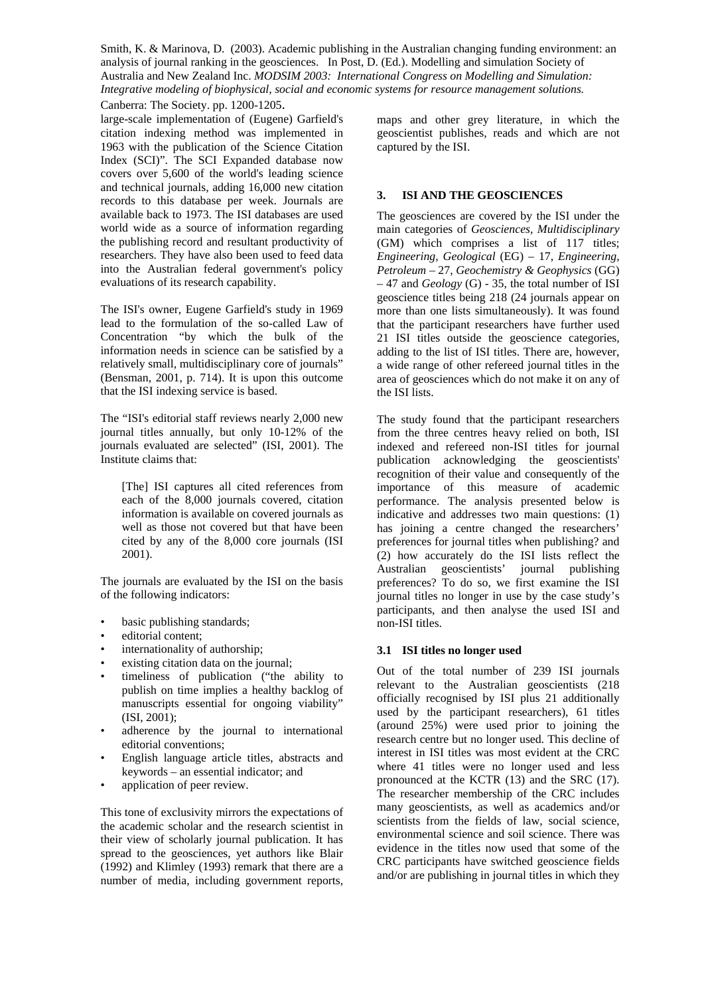Canberra: The Society. pp. 1200-1205. large-scale implementation of (Eugene) Garfield's citation indexing method was implemented in 1963 with the publication of the Science Citation Index (SCI)". The SCI Expanded database now covers over 5,600 of the world's leading science and technical journals, adding 16,000 new citation records to this database per week. Journals are available back to 1973. The ISI databases are used world wide as a source of information regarding the publishing record and resultant productivity of researchers. They have also been used to feed data into the Australian federal government's policy evaluations of its research capability.

The ISI's owner, Eugene Garfield's study in 1969 lead to the formulation of the so-called Law of Concentration "by which the bulk of the information needs in science can be satisfied by a relatively small, multidisciplinary core of journals" (Bensman, 2001, p. 714). It is upon this outcome that the ISI indexing service is based.

The "ISI's editorial staff reviews nearly 2,000 new journal titles annually, but only 10-12% of the journals evaluated are selected" (ISI, 2001). The Institute claims that:

[The] ISI captures all cited references from each of the 8,000 journals covered, citation information is available on covered journals as well as those not covered but that have been cited by any of the 8,000 core journals (ISI 2001).

The journals are evaluated by the ISI on the basis of the following indicators:

- basic publishing standards;
- editorial content;
- internationality of authorship;
- existing citation data on the journal;
- timeliness of publication ("the ability to publish on time implies a healthy backlog of manuscripts essential for ongoing viability" (ISI, 2001);
- adherence by the journal to international editorial conventions;
- English language article titles, abstracts and keywords – an essential indicator; and
- application of peer review.

This tone of exclusivity mirrors the expectations of the academic scholar and the research scientist in their view of scholarly journal publication. It has spread to the geosciences, yet authors like Blair (1992) and Klimley (1993) remark that there are a number of media, including government reports,

maps and other grey literature, in which the geoscientist publishes, reads and which are not captured by the ISI.

## **3. ISI AND THE GEOSCIENCES**

The geosciences are covered by the ISI under the main categories of *Geosciences, Multidisciplinary* (GM) which comprises a list of 117 titles; *Engineering, Geological* (EG) – 17, *Engineering, Petroleum* – 27, *Geochemistry & Geophysics* (GG) – 47 and *Geology* (G) - 35, the total number of ISI geoscience titles being 218 (24 journals appear on more than one lists simultaneously). It was found that the participant researchers have further used 21 ISI titles outside the geoscience categories, adding to the list of ISI titles. There are, however, a wide range of other refereed journal titles in the area of geosciences which do not make it on any of the ISI lists.

The study found that the participant researchers from the three centres heavy relied on both, ISI indexed and refereed non-ISI titles for journal publication acknowledging the geoscientists' recognition of their value and consequently of the importance of this measure of academic performance. The analysis presented below is indicative and addresses two main questions: (1) has joining a centre changed the researchers' preferences for journal titles when publishing? and (2) how accurately do the ISI lists reflect the Australian geoscientists' journal publishing preferences? To do so, we first examine the ISI journal titles no longer in use by the case study's participants, and then analyse the used ISI and non-ISI titles.

### **3.1 ISI titles no longer used**

Out of the total number of 239 ISI journals relevant to the Australian geoscientists (218 officially recognised by ISI plus 21 additionally used by the participant researchers), 61 titles (around 25%) were used prior to joining the research centre but no longer used. This decline of interest in ISI titles was most evident at the CRC where 41 titles were no longer used and less pronounced at the KCTR (13) and the SRC (17). The researcher membership of the CRC includes many geoscientists, as well as academics and/or scientists from the fields of law, social science, environmental science and soil science. There was evidence in the titles now used that some of the CRC participants have switched geoscience fields and/or are publishing in journal titles in which they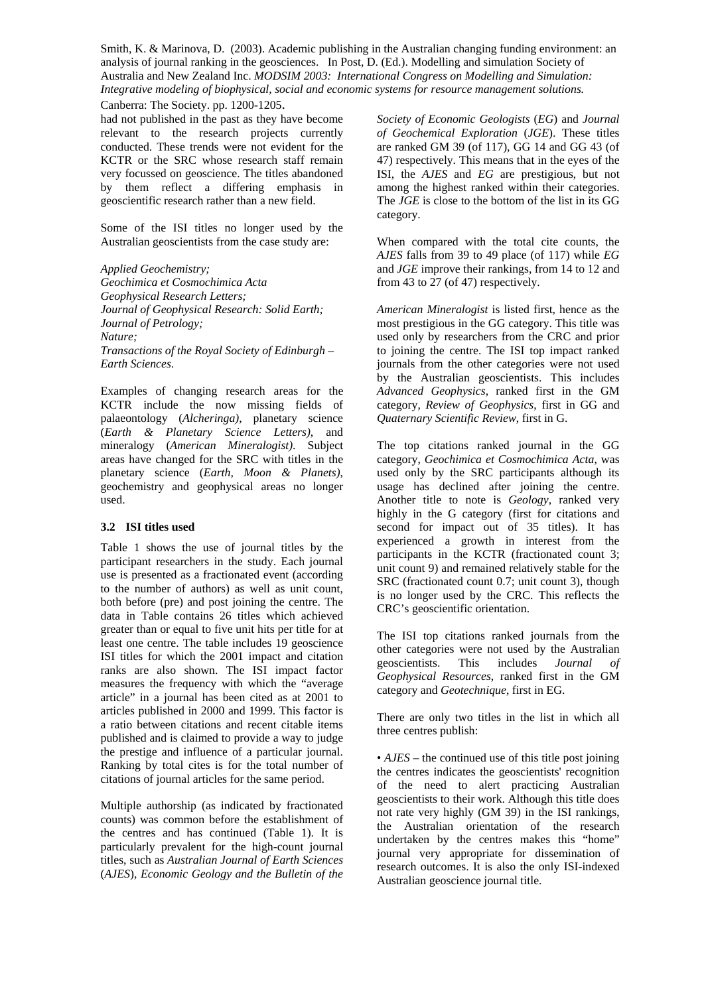Canberra: The Society. pp. 1200-1205. had not published in the past as they have become relevant to the research projects currently conducted. These trends were not evident for the KCTR or the SRC whose research staff remain very focussed on geoscience. The titles abandoned by them reflect a differing emphasis in geoscientific research rather than a new field.

Some of the ISI titles no longer used by the Australian geoscientists from the case study are:

*Applied Geochemistry; Geochimica et Cosmochimica Acta Geophysical Research Letters; Journal of Geophysical Research: Solid Earth; Journal of Petrology; Nature; Transactions of the Royal Society of Edinburgh – Earth Sciences*.

Examples of changing research areas for the KCTR include the now missing fields of palaeontology (*Alcheringa)*, planetary science (*Earth & Planetary Science Letters)*, and mineralogy (*American Mineralogist)*. Subject areas have changed for the SRC with titles in the planetary science (*Earth, Moon & Planets)*, geochemistry and geophysical areas no longer used.

## **3.2 ISI titles used**

Table 1 shows the use of journal titles by the participant researchers in the study. Each journal use is presented as a fractionated event (according to the number of authors) as well as unit count, both before (pre) and post joining the centre. The data in Table contains 26 titles which achieved greater than or equal to five unit hits per title for at least one centre. The table includes 19 geoscience ISI titles for which the 2001 impact and citation ranks are also shown. The ISI impact factor measures the frequency with which the "average article" in a journal has been cited as at 2001 to articles published in 2000 and 1999. This factor is a ratio between citations and recent citable items published and is claimed to provide a way to judge the prestige and influence of a particular journal. Ranking by total cites is for the total number of citations of journal articles for the same period.

Multiple authorship (as indicated by fractionated counts) was common before the establishment of the centres and has continued (Table 1). It is particularly prevalent for the high-count journal titles, such as *Australian Journal of Earth Sciences*  (*AJES*)*, Economic Geology and the Bulletin of the* 

*Society of Economic Geologists* (*EG*) and *Journal of Geochemical Exploration* (*JGE*). These titles are ranked GM 39 (of 117), GG 14 and GG 43 (of 47) respectively. This means that in the eyes of the ISI, the *AJES* and *EG* are prestigious, but not among the highest ranked within their categories. The *JGE* is close to the bottom of the list in its GG category.

When compared with the total cite counts, the *AJES* falls from 39 to 49 place (of 117) while *EG* and *JGE* improve their rankings, from 14 to 12 and from 43 to 27 (of 47) respectively.

*American Mineralogist* is listed first, hence as the most prestigious in the GG category. This title was used only by researchers from the CRC and prior to joining the centre. The ISI top impact ranked journals from the other categories were not used by the Australian geoscientists. This includes *Advanced Geophysics*, ranked first in the GM category, *Review of Geophysics*, first in GG and *Quaternary Scientific Review*, first in G.

The top citations ranked journal in the GG category, *Geochimica et Cosmochimica Acta*, was used only by the SRC participants although its usage has declined after joining the centre. Another title to note is *Geology*, ranked very highly in the G category (first for citations and second for impact out of 35 titles). It has experienced a growth in interest from the participants in the KCTR (fractionated count 3; unit count 9) and remained relatively stable for the SRC (fractionated count 0.7; unit count 3), though is no longer used by the CRC. This reflects the CRC's geoscientific orientation.

The ISI top citations ranked journals from the other categories were not used by the Australian geoscientists. This includes *Journal of Geophysical Resources*, ranked first in the GM category and *Geotechnique*, first in EG.

There are only two titles in the list in which all three centres publish:

•  $AJES$  – the continued use of this title post joining the centres indicates the geoscientists' recognition of the need to alert practicing Australian geoscientists to their work. Although this title does not rate very highly (GM 39) in the ISI rankings, the Australian orientation of the research undertaken by the centres makes this "home" journal very appropriate for dissemination of research outcomes. It is also the only ISI-indexed Australian geoscience journal title.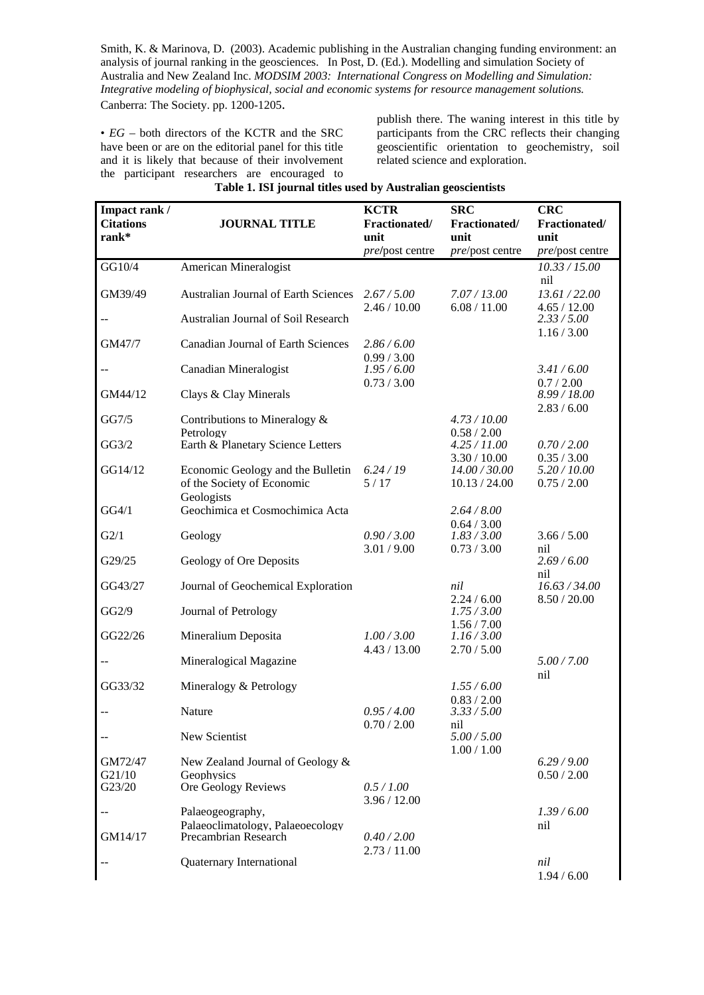• *EG* – both directors of the KCTR and the SRC have been or are on the editorial panel for this title and it is likely that because of their involvement the participant researchers are encouraged to

publish there. The waning interest in this title by participants from the CRC reflects their changing geoscientific orientation to geochemistry, soil related science and exploration.

| Impact rank /<br><b>Citations</b> | <b>JOURNAL TITLE</b>                                                          | <b>KCTR</b><br>Fractionated/ | <b>SRC</b><br>Fractionated/    | <b>CRC</b><br>Fractionated/   |
|-----------------------------------|-------------------------------------------------------------------------------|------------------------------|--------------------------------|-------------------------------|
| $rank*$                           |                                                                               | unit                         | unit                           | unit                          |
|                                   |                                                                               | <i>pre/post centre</i>       | pre/post centre                | <i>pre/post centre</i>        |
| GG10/4                            | American Mineralogist                                                         |                              |                                | 10.33 / 15.00<br>nil          |
| GM39/49                           | <b>Australian Journal of Earth Sciences</b>                                   | 2.67 / 5.00<br>2.46 / 10.00  | 7.07 / 13.00<br>6.08 / 11.00   | 13.61/22.00<br>4.65 / 12.00   |
|                                   | Australian Journal of Soil Research                                           |                              |                                | 2.33 / 5.00<br>1.16 / 3.00    |
| GM47/7                            | <b>Canadian Journal of Earth Sciences</b>                                     | 2.86 / 6.00<br>0.99 / 3.00   |                                |                               |
|                                   | Canadian Mineralogist                                                         | 1.95/6.00<br>0.73 / 3.00     |                                | 3.41/6.00<br>0.7 / 2.00       |
| GM44/12                           | Clays & Clay Minerals                                                         |                              |                                | 8.99 / 18.00<br>2.83 / 6.00   |
| GG7/5                             | Contributions to Mineralogy &<br>Petrology                                    |                              | 4.73 / 10.00<br>0.58 / 2.00    |                               |
| GG3/2                             | Earth & Planetary Science Letters                                             |                              | 4.25 / 11.00<br>3.30 / 10.00   | 0.70 / 2.00<br>0.35 / 3.00    |
| GG14/12                           | Economic Geology and the Bulletin<br>of the Society of Economic<br>Geologists | 6.24/19<br>5/17              | 14.00 / 30.00<br>10.13 / 24.00 | 5.20 / 10.00<br>0.75 / 2.00   |
| GG4/1                             | Geochimica et Cosmochimica Acta                                               |                              | 2.64 / 8.00<br>0.64 / 3.00     |                               |
| G2/1                              | Geology                                                                       | 0.90 / 3.00<br>3.01 / 9.00   | 1.83 / 3.00<br>0.73 / 3.00     | 3.66 / 5.00<br>nil            |
| G29/25                            | Geology of Ore Deposits                                                       |                              |                                | 2.69/6.00<br>nil              |
| GG43/27                           | Journal of Geochemical Exploration                                            |                              | nil<br>2.24 / 6.00             | 16.63 / 34.00<br>8.50 / 20.00 |
| GG2/9                             | Journal of Petrology                                                          |                              | 1.75 / 3.00<br>1.56 / 7.00     |                               |
| GG22/26                           | Mineralium Deposita                                                           | 1.00 / 3.00<br>4.43 / 13.00  | 1.16 / 3.00<br>2.70 / 5.00     |                               |
|                                   | Mineralogical Magazine                                                        |                              |                                | 5.00 / 7.00<br>nil            |
| GG33/32                           | Mineralogy & Petrology                                                        |                              | 1.55/6.00<br>0.83 / 2.00       |                               |
|                                   | Nature                                                                        | 0.95 / 4.00<br>0.70 / 2.00   | 3.33 / 5.00<br>nil             |                               |
|                                   | New Scientist                                                                 |                              | 5.00 / 5.00<br>1.00 / 1.00     |                               |
| GM72/47<br>G21/10                 | New Zealand Journal of Geology &<br>Geophysics                                |                              |                                | 6.29 / 9.00<br>0.50 / 2.00    |
| G23/20                            | Ore Geology Reviews                                                           | 0.5 / 1.00<br>3.96 / 12.00   |                                |                               |
| --                                | Palaeogeography,<br>Palaeoclimatology, Palaeoecology                          |                              |                                | 1.39/6.00<br>nil              |
| GM14/17                           | Precambrian Research                                                          | 0.40 / 2.00                  |                                |                               |
|                                   | Quaternary International                                                      | 2.73 / 11.00                 |                                | nil<br>1.94 / 6.00            |

## **Table 1. ISI journal titles used by Australian geoscientists**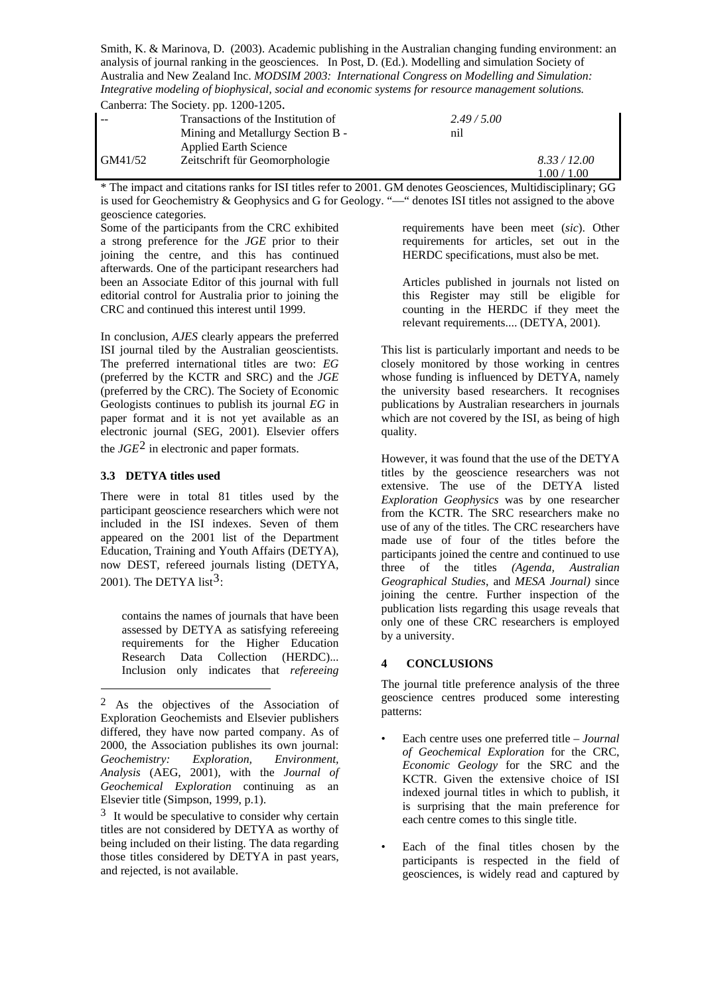Smith, K. & Marinova, D. (2003). Academic publishing in the Australian changing funding environment: an analysis of journal ranking in the geosciences. In Post, D. (Ed.). Modelling and simulation Society of Australia and New Zealand Inc. *MODSIM 2003: International Congress on Modelling and Simulation: Integrative modeling of biophysical, social and economic systems for resource management solutions.*  $Canherra: The Society, nn. 1200-1205$ 

|         | Callocita. The Society. $pp. 1200-1203$ . |           |                           |
|---------|-------------------------------------------|-----------|---------------------------|
|         | Transactions of the Institution of        | 2.49/5.00 |                           |
|         | Mining and Metallurgy Section B -         | nil       |                           |
|         | <b>Applied Earth Science</b>              |           |                           |
| GM41/52 | Zeitschrift für Geomorphologie            |           | 8.33 / 12.00              |
|         |                                           |           | 1.00 <sub>1</sub><br>1.00 |

\* The impact and citations ranks for ISI titles refer to 2001. GM denotes Geosciences, Multidisciplinary; GG is used for Geochemistry & Geophysics and G for Geology. "—" denotes ISI titles not assigned to the above geoscience categories.

Some of the participants from the CRC exhibited a strong preference for the *JGE* prior to their joining the centre, and this has continued afterwards. One of the participant researchers had been an Associate Editor of this journal with full editorial control for Australia prior to joining the CRC and continued this interest until 1999.

In conclusion, *AJES* clearly appears the preferred ISI journal tiled by the Australian geoscientists. The preferred international titles are two: *EG*  (preferred by the KCTR and SRC) and the *JGE* (preferred by the CRC). The Society of Economic Geologists continues to publish its journal *EG* in paper format and it is not yet available as an electronic journal (SEG, 2001). Elsevier offers the  $JGE^2$  $JGE^2$  in electronic and paper formats.

## **3.3 DETYA titles used**

1

There were in total 81 titles used by the participant geoscience researchers which were not included in the ISI indexes. Seven of them appeared on the 2001 list of the Department Education, Training and Youth Affairs (DETYA), now DEST, refereed journals listing (DETYA, 2001). The DETYA list<sup>[3](#page-4-1)</sup>:

contains the names of journals that have been assessed by DETYA as satisfying refereeing requirements for the Higher Education Research Data Collection (HERDC)... Inclusion only indicates that *refereeing* requirements have been meet (*sic*). Other requirements for articles, set out in the HERDC specifications, must also be met.

Articles published in journals not listed on this Register may still be eligible for counting in the HERDC if they meet the relevant requirements.... (DETYA, 2001).

This list is particularly important and needs to be closely monitored by those working in centres whose funding is influenced by DETYA, namely the university based researchers. It recognises publications by Australian researchers in journals which are not covered by the ISI, as being of high quality.

However, it was found that the use of the DETYA titles by the geoscience researchers was not extensive. The use of the DETYA listed *Exploration Geophysics* was by one researcher from the KCTR. The SRC researchers make no use of any of the titles. The CRC researchers have made use of four of the titles before the participants joined the centre and continued to use three of the titles *(Agenda, Australian Geographical Studies*, and *MESA Journal)* since joining the centre. Further inspection of the publication lists regarding this usage reveals that only one of these CRC researchers is employed by a university.

## **4 CONCLUSIONS**

The journal title preference analysis of the three geoscience centres produced some interesting patterns:

- Each centre uses one preferred title *Journal of Geochemical Exploration* for the CRC, *Economic Geology* for the SRC and the KCTR. Given the extensive choice of ISI indexed journal titles in which to publish, it is surprising that the main preference for each centre comes to this single title.
- Each of the final titles chosen by the participants is respected in the field of geosciences, is widely read and captured by

<span id="page-4-0"></span><sup>2</sup> As the objectives of the Association of Exploration Geochemists and Elsevier publishers differed, they have now parted company. As of 2000, the Association publishes its own journal: *Geochemistry: Exploration, Environment, Analysis* (AEG, 2001)*,* with the *Journal of Geochemical Exploration* continuing as an Elsevier title (Simpson, 1999, p.1).

<span id="page-4-1"></span><sup>&</sup>lt;sup>3</sup> It would be speculative to consider why certain titles are not considered by DETYA as worthy of being included on their listing. The data regarding those titles considered by DETYA in past years, and rejected, is not available.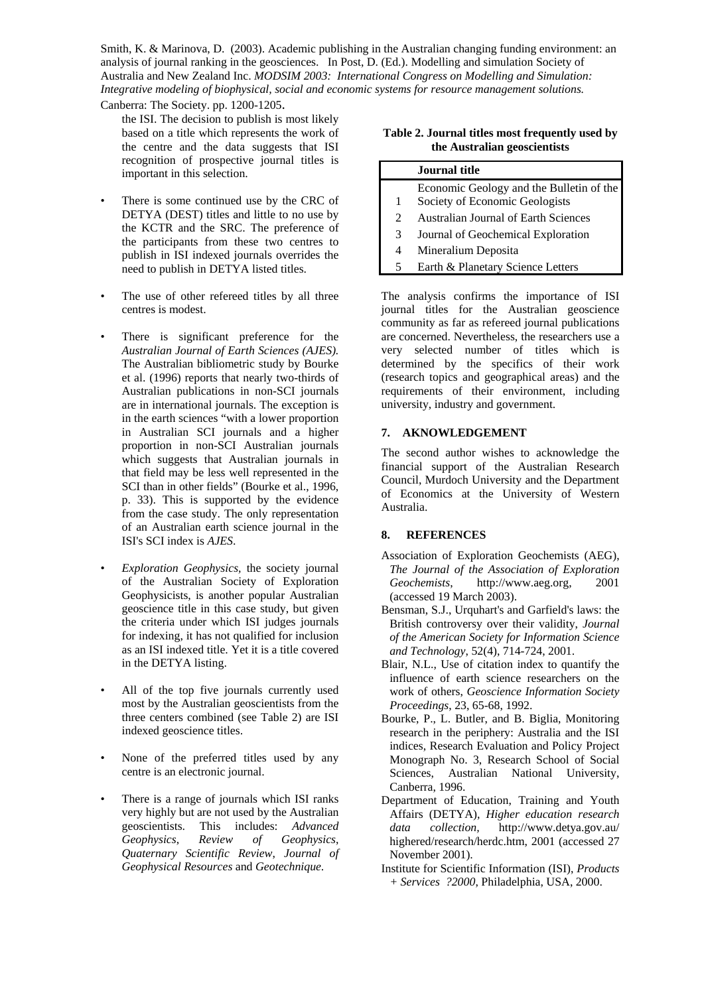Canberra: The Society. pp. 1200-1205. the ISI. The decision to publish is most likely based on a title which represents the work of the centre and the data suggests that ISI recognition of prospective journal titles is important in this selection.

- There is some continued use by the CRC of DETYA (DEST) titles and little to no use by the KCTR and the SRC. The preference of the participants from these two centres to publish in ISI indexed journals overrides the need to publish in DETYA listed titles.
- The use of other refereed titles by all three centres is modest.
- There is significant preference for the *Australian Journal of Earth Sciences (AJES).* The Australian bibliometric study by Bourke et al. (1996) reports that nearly two-thirds of Australian publications in non-SCI journals are in international journals. The exception is in the earth sciences "with a lower proportion in Australian SCI journals and a higher proportion in non-SCI Australian journals which suggests that Australian journals in that field may be less well represented in the SCI than in other fields" (Bourke et al., 1996, p. 33). This is supported by the evidence from the case study. The only representation of an Australian earth science journal in the ISI's SCI index is *AJES*.
- • *Exploration Geophysics,* the society journal of the Australian Society of Exploration Geophysicists, is another popular Australian geoscience title in this case study, but given the criteria under which ISI judges journals for indexing, it has not qualified for inclusion as an ISI indexed title. Yet it is a title covered in the DETYA listing.
- All of the top five journals currently used most by the Australian geoscientists from the three centers combined (see Table 2) are ISI indexed geoscience titles.
- None of the preferred titles used by any centre is an electronic journal.
- There is a range of journals which ISI ranks very highly but are not used by the Australian geoscientists. This includes: *Advanced Geophysics*, *Review of Geophysics*, *Quaternary Scientific Review*, *Journal of Geophysical Resources* and *Geotechnique*.

### **Table 2. Journal titles most frequently used by the Australian geoscientists**

|                             | <b>Journal title</b>                        |
|-----------------------------|---------------------------------------------|
|                             | Economic Geology and the Bulletin of the    |
|                             | Society of Economic Geologists              |
| $\mathcal{D}_{\mathcal{L}}$ | <b>Australian Journal of Earth Sciences</b> |
| 3                           | Journal of Geochemical Exploration          |
| 4                           | Mineralium Deposita                         |
| 5                           | Earth & Planetary Science Letters           |

The analysis confirms the importance of ISI journal titles for the Australian geoscience community as far as refereed journal publications are concerned. Nevertheless, the researchers use a very selected number of titles which is determined by the specifics of their work (research topics and geographical areas) and the requirements of their environment, including university, industry and government.

## **7. AKNOWLEDGEMENT**

The second author wishes to acknowledge the financial support of the Australian Research Council, Murdoch University and the Department of Economics at the University of Western Australia.

### **8. REFERENCES**

- Association of Exploration Geochemists (AEG), *The Journal of the Association of Exploration Geochemists*, http://www.aeg.org, 2001 (accessed 19 March 2003).
- Bensman, S.J., Urquhart's and Garfield's laws: the British controversy over their validity, *Journal of the American Society for Information Science and Technology*, 52(4), 714-724, 2001.
- Blair, N.L., Use of citation index to quantify the influence of earth science researchers on the work of others, *Geoscience Information Society Proceedings*, 23, 65-68, 1992.
- Bourke, P., L. Butler, and B. Biglia, Monitoring research in the periphery: Australia and the ISI indices, Research Evaluation and Policy Project Monograph No. 3, Research School of Social Sciences, Australian National University, Canberra, 1996.
- Department of Education, Training and Youth Affairs (DETYA), *Higher education research data collection,* http://www.detya.gov.au/ highered/research/herdc.htm, 2001 (accessed 27 November 2001).
- Institute for Scientific Information (ISI), *Products + Services ?2000*, Philadelphia, USA, 2000.